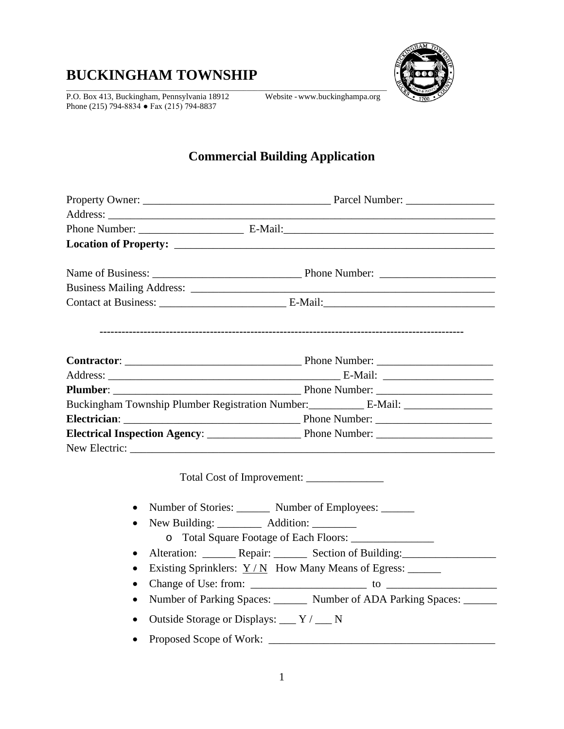# **BUCKINGHAM TOWNSHIP**

P.O. Box 413, Buckingham, Pennsylvania 18912 Website -www.buckinghampa.org Phone (215) 794-8834 ● Fax (215) 794-8837



## **Commercial Building Application**

|           | Buckingham Township Plumber Registration Number: ________________________________ |
|-----------|-----------------------------------------------------------------------------------|
|           |                                                                                   |
|           |                                                                                   |
|           | New Electric:                                                                     |
|           |                                                                                   |
| $\bullet$ | Number of Stories: Number of Employees:                                           |
| $\bullet$ | New Building: __________ Addition: ________                                       |
|           |                                                                                   |
| $\bullet$ | Alteration: ________ Repair: ________ Section of Building: _____________________  |
| $\bullet$ | Existing Sprinklers: $Y/N$ How Many Means of Egress: ______                       |
| $\bullet$ |                                                                                   |
| $\bullet$ | Number of Parking Spaces: ________ Number of ADA Parking Spaces: _______          |
| $\bullet$ | Outside Storage or Displays: ___ Y / __ N                                         |
| $\bullet$ |                                                                                   |